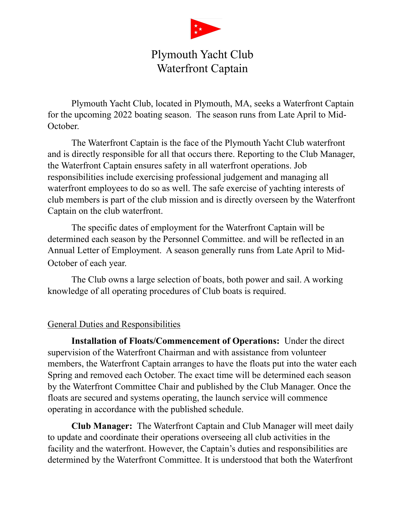

## Plymouth Yacht Club Waterfront Captain

Plymouth Yacht Club, located in Plymouth, MA, seeks a Waterfront Captain for the upcoming 2022 boating season. The season runs from Late April to Mid-October.

The Waterfront Captain is the face of the Plymouth Yacht Club waterfront and is directly responsible for all that occurs there. Reporting to the Club Manager, the Waterfront Captain ensures safety in all waterfront operations. Job responsibilities include exercising professional judgement and managing all waterfront employees to do so as well. The safe exercise of yachting interests of club members is part of the club mission and is directly overseen by the Waterfront Captain on the club waterfront.

The specific dates of employment for the Waterfront Captain will be determined each season by the Personnel Committee. and will be reflected in an Annual Letter of Employment. A season generally runs from Late April to Mid-October of each year.

The Club owns a large selection of boats, both power and sail. A working knowledge of all operating procedures of Club boats is required.

## General Duties and Responsibilities

**Installation of Floats/Commencement of Operations:** Under the direct supervision of the Waterfront Chairman and with assistance from volunteer members, the Waterfront Captain arranges to have the floats put into the water each Spring and removed each October. The exact time will be determined each season by the Waterfront Committee Chair and published by the Club Manager. Once the floats are secured and systems operating, the launch service will commence operating in accordance with the published schedule.

**Club Manager:** The Waterfront Captain and Club Manager will meet daily to update and coordinate their operations overseeing all club activities in the facility and the waterfront. However, the Captain's duties and responsibilities are determined by the Waterfront Committee. It is understood that both the Waterfront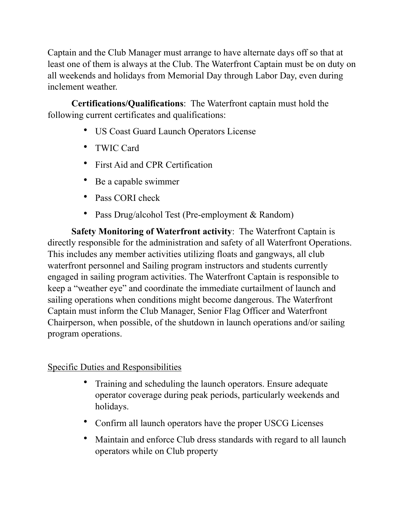Captain and the Club Manager must arrange to have alternate days off so that at least one of them is always at the Club. The Waterfront Captain must be on duty on all weekends and holidays from Memorial Day through Labor Day, even during inclement weather.

**Certifications/Qualifications**: The Waterfront captain must hold the following current certificates and qualifications:

- US Coast Guard Launch Operators License
- TWIC Card
- First Aid and CPR Certification
- Be a capable swimmer
- Pass CORI check
- Pass Drug/alcohol Test (Pre-employment & Random)

**Safety Monitoring of Waterfront activity**: The Waterfront Captain is directly responsible for the administration and safety of all Waterfront Operations. This includes any member activities utilizing floats and gangways, all club waterfront personnel and Sailing program instructors and students currently engaged in sailing program activities. The Waterfront Captain is responsible to keep a "weather eye" and coordinate the immediate curtailment of launch and sailing operations when conditions might become dangerous. The Waterfront Captain must inform the Club Manager, Senior Flag Officer and Waterfront Chairperson, when possible, of the shutdown in launch operations and/or sailing program operations.

## Specific Duties and Responsibilities

- Training and scheduling the launch operators. Ensure adequate operator coverage during peak periods, particularly weekends and holidays.
- Confirm all launch operators have the proper USCG Licenses
- Maintain and enforce Club dress standards with regard to all launch operators while on Club property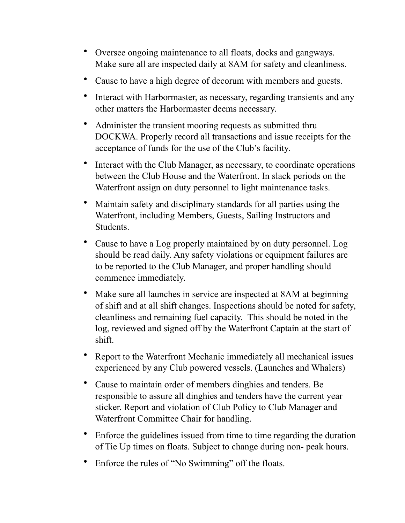- Oversee ongoing maintenance to all floats, docks and gangways. Make sure all are inspected daily at 8AM for safety and cleanliness.
- Cause to have a high degree of decorum with members and guests.
- Interact with Harbormaster, as necessary, regarding transients and any other matters the Harbormaster deems necessary.
- Administer the transient mooring requests as submitted thru DOCKWA. Properly record all transactions and issue receipts for the acceptance of funds for the use of the Club's facility.
- Interact with the Club Manager, as necessary, to coordinate operations between the Club House and the Waterfront. In slack periods on the Waterfront assign on duty personnel to light maintenance tasks.
- Maintain safety and disciplinary standards for all parties using the Waterfront, including Members, Guests, Sailing Instructors and Students.
- Cause to have a Log properly maintained by on duty personnel. Log should be read daily. Any safety violations or equipment failures are to be reported to the Club Manager, and proper handling should commence immediately.
- Make sure all launches in service are inspected at 8AM at beginning of shift and at all shift changes. Inspections should be noted for safety, cleanliness and remaining fuel capacity. This should be noted in the log, reviewed and signed off by the Waterfront Captain at the start of shift.
- Report to the Waterfront Mechanic immediately all mechanical issues experienced by any Club powered vessels. (Launches and Whalers)
- Cause to maintain order of members dinghies and tenders. Be responsible to assure all dinghies and tenders have the current year sticker. Report and violation of Club Policy to Club Manager and Waterfront Committee Chair for handling.
- Enforce the guidelines issued from time to time regarding the duration of Tie Up times on floats. Subject to change during non- peak hours.
- Enforce the rules of "No Swimming" off the floats.